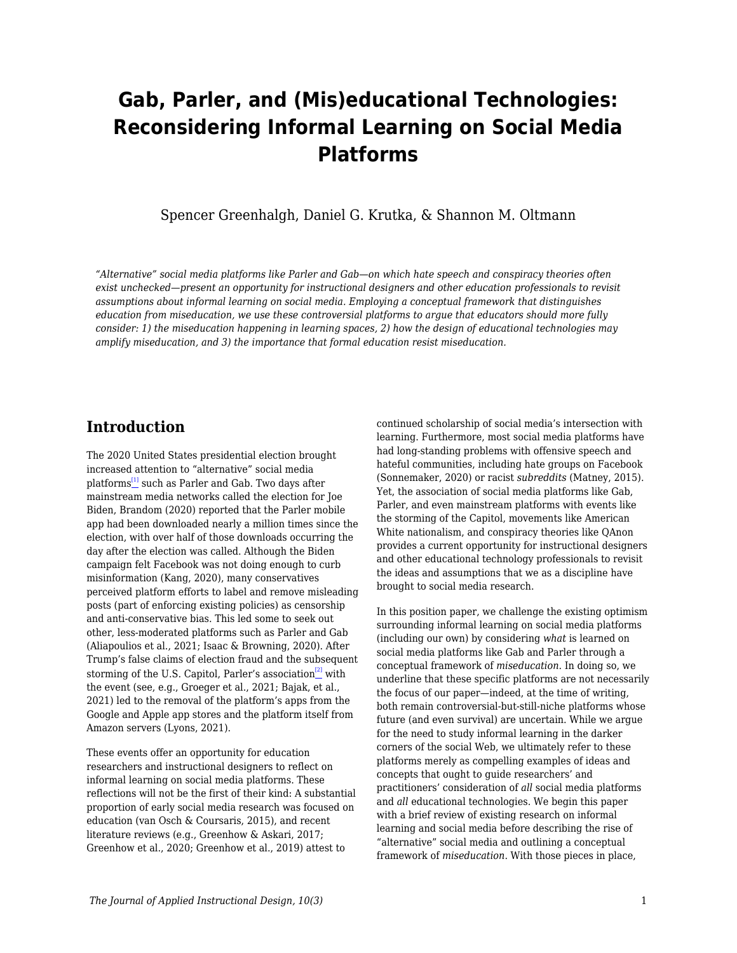# **Gab, Parler, and (Mis)educational Technologies: Reconsidering Informal Learning on Social Media Platforms**

Spencer Greenhalgh, Daniel G. Krutka, & Shannon M. Oltmann

*"Alternative" social media platforms like Parler and Gab—on which hate speech and conspiracy theories often exist unchecked—present an opportunity for instructional designers and other education professionals to revisit assumptions about informal learning on social media. Employing a conceptual framework that distinguishes education from miseducation, we use these controversial platforms to argue that educators should more fully consider: 1) the miseducation happening in learning spaces, 2) how the design of educational technologies may amplify miseducation, and 3) the importance that formal education resist miseducation.*

### **Introduction**

The 2020 United States presidential election brought increased attention to "alternative" social media platforms<sup>[\[1\]](#page--1-0)</sup> such as Parler and Gab. Two days after mainstream media networks called the election for Joe Biden, Brandom (2020) reported that the Parler mobile app had been downloaded nearly a million times since the election, with over half of those downloads occurring the day after the election was called. Although the Biden campaign felt Facebook was not doing enough to curb misinformation (Kang, 2020), many conservatives perceived platform efforts to label and remove misleading posts (part of enforcing existing policies) as censorship and anti-conservative bias. This led some to seek out other, less-moderated platforms such as Parler and Gab (Aliapoulios et al., 2021; Isaac & Browning, 2020). After Trump's false claims of election fraud and the subsequent storming of the U.S. Capitol, Parler's association<sup>[\[2\]](#page--1-0)</sup> with the event (see, e.g., Groeger et al., 2021; Bajak, et al., 2021) led to the removal of the platform's apps from the Google and Apple app stores and the platform itself from Amazon servers (Lyons, 2021).

These events offer an opportunity for education researchers and instructional designers to reflect on informal learning on social media platforms. These reflections will not be the first of their kind: A substantial proportion of early social media research was focused on education (van Osch & Coursaris, 2015), and recent literature reviews (e.g., Greenhow & Askari, 2017; Greenhow et al., 2020; Greenhow et al., 2019) attest to

continued scholarship of social media's intersection with learning. Furthermore, most social media platforms have had long-standing problems with offensive speech and hateful communities, including hate groups on Facebook (Sonnemaker, 2020) or racist *subreddits* (Matney, 2015). Yet, the association of social media platforms like Gab, Parler, and even mainstream platforms with events like the storming of the Capitol, movements like American White nationalism, and conspiracy theories like QAnon provides a current opportunity for instructional designers and other educational technology professionals to revisit the ideas and assumptions that we as a discipline have brought to social media research.

In this position paper, we challenge the existing optimism surrounding informal learning on social media platforms (including our own) by considering *what* is learned on social media platforms like Gab and Parler through a conceptual framework of *miseducation*. In doing so, we underline that these specific platforms are not necessarily the focus of our paper—indeed, at the time of writing, both remain controversial-but-still-niche platforms whose future (and even survival) are uncertain. While we argue for the need to study informal learning in the darker corners of the social Web, we ultimately refer to these platforms merely as compelling examples of ideas and concepts that ought to guide researchers' and practitioners' consideration of *all* social media platforms and *all* educational technologies. We begin this paper with a brief review of existing research on informal learning and social media before describing the rise of "alternative" social media and outlining a conceptual framework of *miseducation*. With those pieces in place,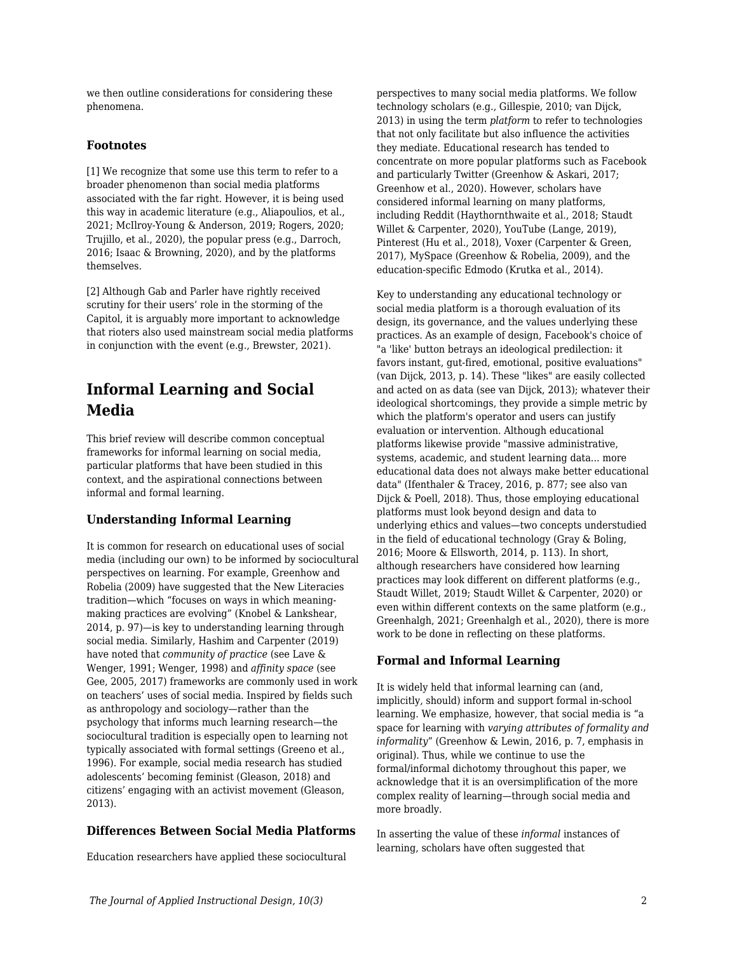we then outline considerations for considering these phenomena.

### **Footnotes**

[1] We recognize that some use this term to refer to a broader phenomenon than social media platforms associated with the far right. However, it is being used this way in academic literature (e.g., Aliapoulios, et al., 2021; McIlroy-Young & Anderson, 2019; Rogers, 2020; Trujillo, et al., 2020), the popular press (e.g., Darroch, 2016; Isaac & Browning, 2020), and by the platforms themselves.

[2] Although Gab and Parler have rightly received scrutiny for their users' role in the storming of the Capitol, it is arguably more important to acknowledge that rioters also used mainstream social media platforms in conjunction with the event (e.g., Brewster, 2021).

## **Informal Learning and Social Media**

This brief review will describe common conceptual frameworks for informal learning on social media, particular platforms that have been studied in this context, and the aspirational connections between informal and formal learning.

### **Understanding Informal Learning**

It is common for research on educational uses of social media (including our own) to be informed by sociocultural perspectives on learning. For example, Greenhow and Robelia (2009) have suggested that the New Literacies tradition—which "focuses on ways in which meaningmaking practices are evolving" (Knobel & Lankshear, 2014, p. 97)—is key to understanding learning through social media. Similarly, Hashim and Carpenter (2019) have noted that *community of practice* (see Lave & Wenger, 1991; Wenger, 1998) and *affinity space* (see Gee, 2005, 2017) frameworks are commonly used in work on teachers' uses of social media. Inspired by fields such as anthropology and sociology—rather than the psychology that informs much learning research—the sociocultural tradition is especially open to learning not typically associated with formal settings (Greeno et al., 1996). For example, social media research has studied adolescents' becoming feminist (Gleason, 2018) and citizens' engaging with an activist movement (Gleason, 2013).

### **Differences Between Social Media Platforms**

Education researchers have applied these sociocultural

perspectives to many social media platforms. We follow technology scholars (e.g., Gillespie, 2010; van Dijck, 2013) in using the term *platform* to refer to technologies that not only facilitate but also influence the activities they mediate. Educational research has tended to concentrate on more popular platforms such as Facebook and particularly Twitter (Greenhow & Askari, 2017; Greenhow et al., 2020). However, scholars have considered informal learning on many platforms, including Reddit (Haythornthwaite et al., 2018; Staudt Willet & Carpenter, 2020), YouTube (Lange, 2019), Pinterest (Hu et al., 2018), Voxer (Carpenter & Green, 2017), MySpace (Greenhow & Robelia, 2009), and the education-specific Edmodo (Krutka et al., 2014).

Key to understanding any educational technology or social media platform is a thorough evaluation of its design, its governance, and the values underlying these practices. As an example of design, Facebook's choice of "a 'like' button betrays an ideological predilection: it favors instant, gut-fired, emotional, positive evaluations" (van Dijck, 2013, p. 14). These "likes" are easily collected and acted on as data (see van Dijck, 2013); whatever their ideological shortcomings, they provide a simple metric by which the platform's operator and users can justify evaluation or intervention. Although educational platforms likewise provide "massive administrative, systems, academic, and student learning data... more educational data does not always make better educational data" (Ifenthaler & Tracey, 2016, p. 877; see also van Dijck & Poell, 2018). Thus, those employing educational platforms must look beyond design and data to underlying ethics and values—two concepts understudied in the field of educational technology (Gray & Boling, 2016; Moore & Ellsworth, 2014, p. 113). In short, although researchers have considered how learning practices may look different on different platforms (e.g., Staudt Willet, 2019; Staudt Willet & Carpenter, 2020) or even within different contexts on the same platform (e.g., Greenhalgh, 2021; Greenhalgh et al., 2020), there is more work to be done in reflecting on these platforms.

#### **Formal and Informal Learning**

It is widely held that informal learning can (and, implicitly, should) inform and support formal in-school learning. We emphasize, however, that social media is "a space for learning with *varying attributes of formality and informality*" (Greenhow & Lewin, 2016, p. 7, emphasis in original). Thus, while we continue to use the formal/informal dichotomy throughout this paper, we acknowledge that it is an oversimplification of the more complex reality of learning—through social media and more broadly.

In asserting the value of these *informal* instances of learning, scholars have often suggested that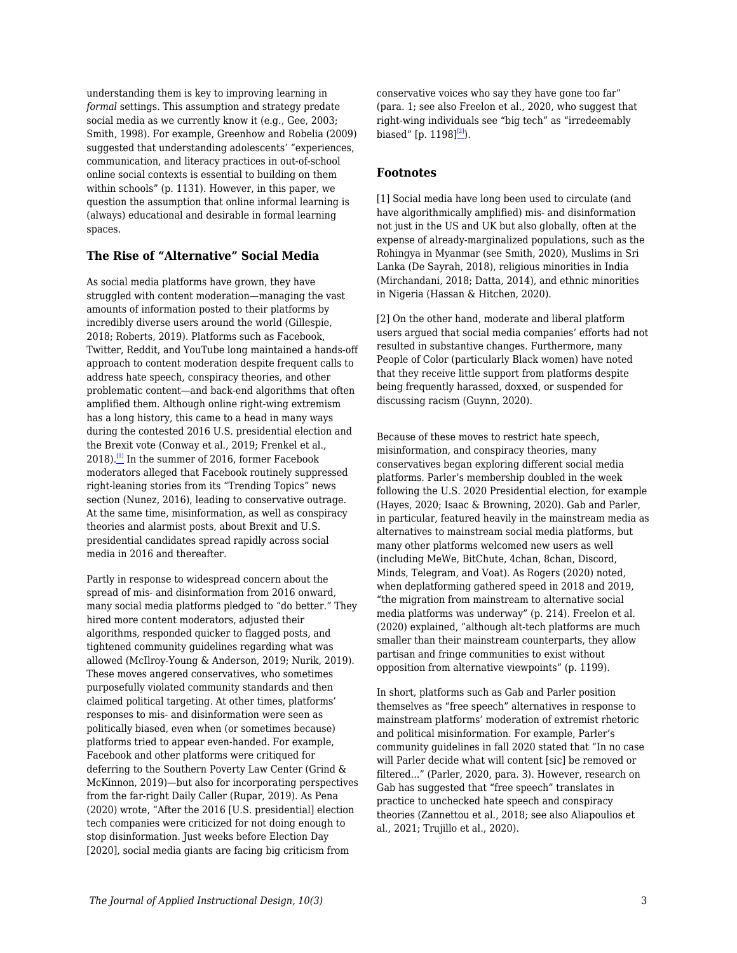understanding them is key to improving learning in *formal* settings. This assumption and strategy predate social media as we currently know it (e.g., Gee, 2003; Smith, 1998). For example, Greenhow and Robelia (2009) suggested that understanding adolescents' "experiences, communication, and literacy practices in out-of-school online social contexts is essential to building on them within schools" (p. 1131). However, in this paper, we question the assumption that online informal learning is (always) educational and desirable in formal learning spaces.

#### **The Rise of "Alternative" Social Media**

As social media platforms have grown, they have struggled with content moderation—managing the vast amounts of information posted to their platforms by incredibly diverse users around the world (Gillespie, 2018; Roberts, 2019). Platforms such as Facebook, Twitter, Reddit, and YouTube long maintained a hands-off approach to content moderation despite frequent calls to address hate speech, conspiracy theories, and other problematic content—and back-end algorithms that often amplified them. Although online right-wing extremism has a long history, this came to a head in many ways during the contested 2016 U.S. presidential election and the Brexit vote (Conway et al., 2019; Frenkel et al.,  $2018$ .<sup>[\[1\]](#page--1-0)</sup> In the summer of 2016, former Facebook moderators alleged that Facebook routinely suppressed right-leaning stories from its "Trending Topics" news section (Nunez, 2016), leading to conservative outrage. At the same time, misinformation, as well as conspiracy theories and alarmist posts, about Brexit and U.S. presidential candidates spread rapidly across social media in 2016 and thereafter.

Partly in response to widespread concern about the spread of mis- and disinformation from 2016 onward, many social media platforms pledged to "do better." They hired more content moderators, adjusted their algorithms, responded quicker to flagged posts, and tightened community guidelines regarding what was allowed (McIlroy-Young & Anderson, 2019; Nurik, 2019). These moves angered conservatives, who sometimes purposefully violated community standards and then claimed political targeting. At other times, platforms' responses to mis- and disinformation were seen as politically biased, even when (or sometimes because) platforms tried to appear even-handed. For example, Facebook and other platforms were critiqued for deferring to the Southern Poverty Law Center (Grind & McKinnon, 2019)—but also for incorporating perspectives from the far-right Daily Caller (Rupar, 2019). As Pena (2020) wrote, "After the 2016 [U.S. presidential] election tech companies were criticized for not doing enough to stop disinformation. Just weeks before Election Day [2020], social media giants are facing big criticism from

conservative voices who say they have gone too far" (para. 1; see also Freelon et al., 2020, who suggest that right-wing individuals see "big tech" as "irredeemably biased" [p. 1198] $^{[2]}$  $^{[2]}$  $^{[2]}$ ).

#### **Footnotes**

[1] Social media have long been used to circulate (and have algorithmically amplified) mis- and disinformation not just in the US and UK but also globally, often at the expense of already-marginalized populations, such as the Rohingya in Myanmar (see Smith, 2020), Muslims in Sri Lanka (De Sayrah, 2018), religious minorities in India (Mirchandani, 2018; Datta, 2014), and ethnic minorities in Nigeria (Hassan & Hitchen, 2020).

[2] On the other hand, moderate and liberal platform users argued that social media companies' efforts had not resulted in substantive changes. Furthermore, many People of Color (particularly Black women) have noted that they receive little support from platforms despite being frequently harassed, doxxed, or suspended for discussing racism (Guynn, 2020).

Because of these moves to restrict hate speech, misinformation, and conspiracy theories, many conservatives began exploring different social media platforms. Parler's membership doubled in the week following the U.S. 2020 Presidential election, for example (Hayes, 2020; Isaac & Browning, 2020). Gab and Parler, in particular, featured heavily in the mainstream media as alternatives to mainstream social media platforms, but many other platforms welcomed new users as well (including MeWe, BitChute, 4chan, 8chan, Discord, Minds, Telegram, and Voat). As Rogers (2020) noted, when deplatforming gathered speed in 2018 and 2019, "the migration from mainstream to alternative social media platforms was underway" (p. 214). Freelon et al. (2020) explained, "although alt-tech platforms are much smaller than their mainstream counterparts, they allow partisan and fringe communities to exist without opposition from alternative viewpoints" (p. 1199).

In short, platforms such as Gab and Parler position themselves as "free speech" alternatives in response to mainstream platforms' moderation of extremist rhetoric and political misinformation. For example, Parler's community guidelines in fall 2020 stated that "In no case will Parler decide what will content [sic] be removed or filtered..." (Parler, 2020, para. 3). However, research on Gab has suggested that "free speech" translates in practice to unchecked hate speech and conspiracy theories (Zannettou et al., 2018; see also Aliapoulios et al., 2021; Trujillo et al., 2020).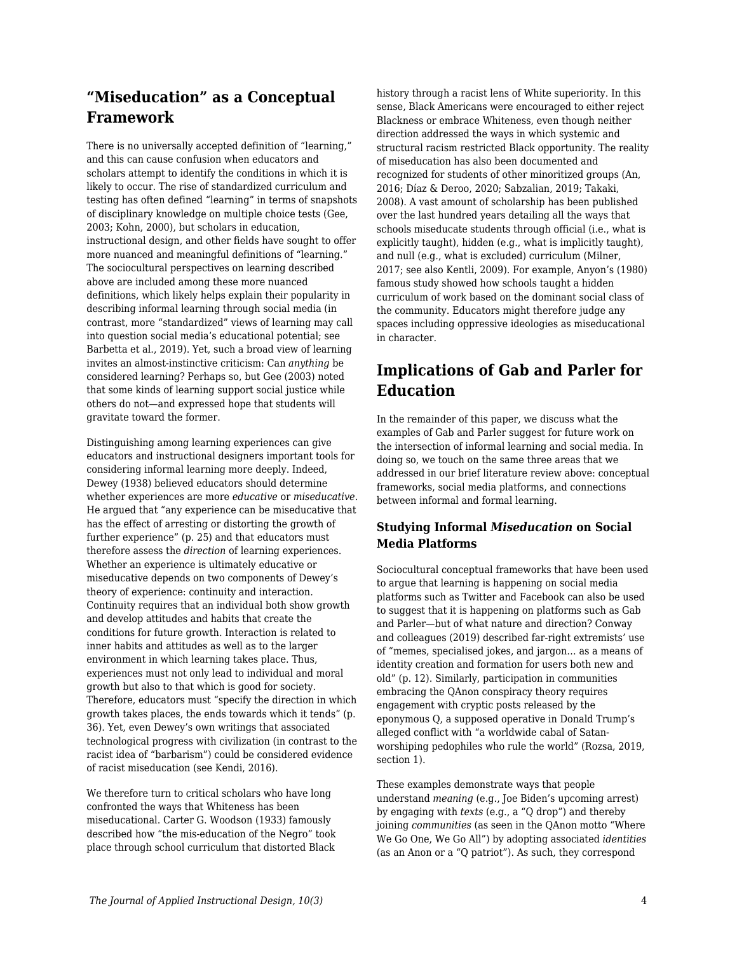# **"Miseducation" as a Conceptual Framework**

There is no universally accepted definition of "learning," and this can cause confusion when educators and scholars attempt to identify the conditions in which it is likely to occur. The rise of standardized curriculum and testing has often defined "learning" in terms of snapshots of disciplinary knowledge on multiple choice tests (Gee, 2003; Kohn, 2000), but scholars in education, instructional design, and other fields have sought to offer more nuanced and meaningful definitions of "learning." The sociocultural perspectives on learning described above are included among these more nuanced definitions, which likely helps explain their popularity in describing informal learning through social media (in contrast, more "standardized" views of learning may call into question social media's educational potential; see Barbetta et al., 2019). Yet, such a broad view of learning invites an almost-instinctive criticism: Can *anything* be considered learning? Perhaps so, but Gee (2003) noted that some kinds of learning support social justice while others do not—and expressed hope that students will gravitate toward the former.

Distinguishing among learning experiences can give educators and instructional designers important tools for considering informal learning more deeply. Indeed, Dewey (1938) believed educators should determine whether experiences are more *educative* or *miseducative*. He argued that "any experience can be miseducative that has the effect of arresting or distorting the growth of further experience" (p. 25) and that educators must therefore assess the *direction* of learning experiences. Whether an experience is ultimately educative or miseducative depends on two components of Dewey's theory of experience: continuity and interaction. Continuity requires that an individual both show growth and develop attitudes and habits that create the conditions for future growth. Interaction is related to inner habits and attitudes as well as to the larger environment in which learning takes place. Thus, experiences must not only lead to individual and moral growth but also to that which is good for society. Therefore, educators must "specify the direction in which growth takes places, the ends towards which it tends" (p. 36). Yet, even Dewey's own writings that associated technological progress with civilization (in contrast to the racist idea of "barbarism") could be considered evidence of racist miseducation (see Kendi, 2016).

We therefore turn to critical scholars who have long confronted the ways that Whiteness has been miseducational. Carter G. Woodson (1933) famously described how "the mis-education of the Negro" took place through school curriculum that distorted Black

history through a racist lens of White superiority. In this sense, Black Americans were encouraged to either reject Blackness or embrace Whiteness, even though neither direction addressed the ways in which systemic and structural racism restricted Black opportunity. The reality of miseducation has also been documented and recognized for students of other minoritized groups (An, 2016; Díaz & Deroo, 2020; Sabzalian, 2019; Takaki, 2008). A vast amount of scholarship has been published over the last hundred years detailing all the ways that schools miseducate students through official (i.e., what is explicitly taught), hidden (e.g., what is implicitly taught), and null (e.g., what is excluded) curriculum (Milner, 2017; see also Kentli, 2009). For example, Anyon's (1980) famous study showed how schools taught a hidden curriculum of work based on the dominant social class of the community. Educators might therefore judge any spaces including oppressive ideologies as miseducational in character.

# **Implications of Gab and Parler for Education**

In the remainder of this paper, we discuss what the examples of Gab and Parler suggest for future work on the intersection of informal learning and social media. In doing so, we touch on the same three areas that we addressed in our brief literature review above: conceptual frameworks, social media platforms, and connections between informal and formal learning.

### **Studying Informal** *Miseducation* **on Social Media Platforms**

Sociocultural conceptual frameworks that have been used to argue that learning is happening on social media platforms such as Twitter and Facebook can also be used to suggest that it is happening on platforms such as Gab and Parler—but of what nature and direction? Conway and colleagues (2019) described far-right extremists' use of "memes, specialised jokes, and jargon… as a means of identity creation and formation for users both new and old" (p. 12). Similarly, participation in communities embracing the QAnon conspiracy theory requires engagement with cryptic posts released by the eponymous Q, a supposed operative in Donald Trump's alleged conflict with "a worldwide cabal of Satanworshiping pedophiles who rule the world" (Rozsa, 2019, section 1).

These examples demonstrate ways that people understand *meaning* (e.g., Joe Biden's upcoming arrest) by engaging with *texts* (e.g., a "Q drop") and thereby joining *communities* (as seen in the QAnon motto "Where We Go One, We Go All") by adopting associated *identities* (as an Anon or a "Q patriot"). As such, they correspond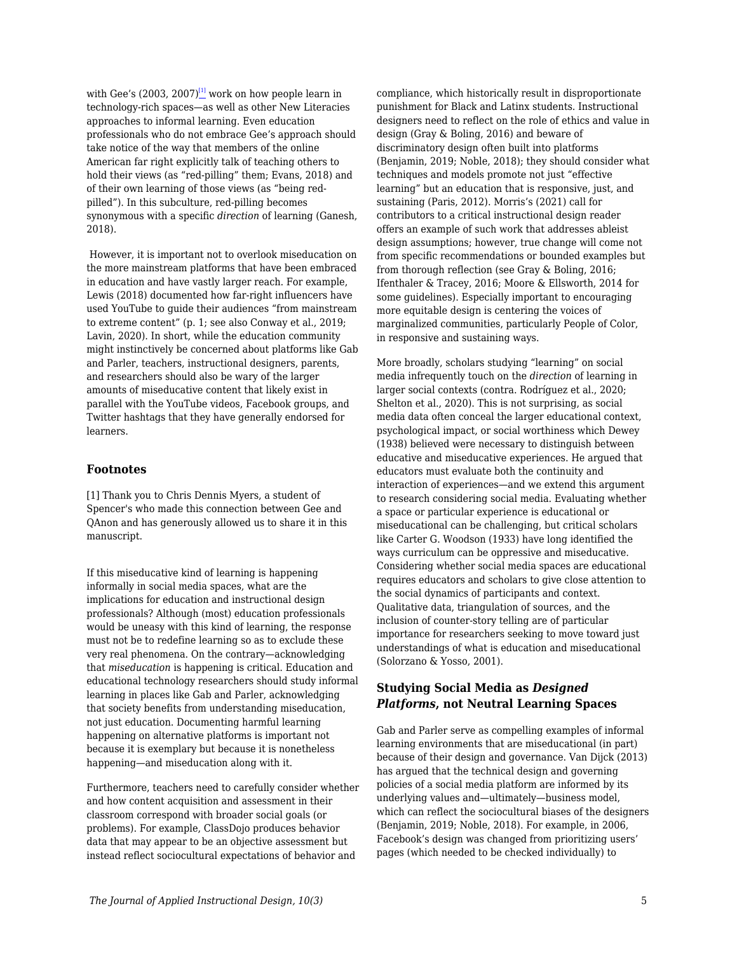with Gee's (2003, 2007) $\frac{[1]}{2}$  $\frac{[1]}{2}$  $\frac{[1]}{2}$  work on how people learn in technology-rich spaces—as well as other New Literacies approaches to informal learning. Even education professionals who do not embrace Gee's approach should take notice of the way that members of the online American far right explicitly talk of teaching others to hold their views (as "red-pilling" them; Evans, 2018) and of their own learning of those views (as "being redpilled"). In this subculture, red-pilling becomes synonymous with a specific *direction* of learning (Ganesh, 2018).

 However, it is important not to overlook miseducation on the more mainstream platforms that have been embraced in education and have vastly larger reach. For example, Lewis (2018) documented how far-right influencers have used YouTube to guide their audiences "from mainstream to extreme content" (p. 1; see also Conway et al., 2019; Lavin, 2020). In short, while the education community might instinctively be concerned about platforms like Gab and Parler, teachers, instructional designers, parents, and researchers should also be wary of the larger amounts of miseducative content that likely exist in parallel with the YouTube videos, Facebook groups, and Twitter hashtags that they have generally endorsed for learners.

#### **Footnotes**

[1] Thank you to Chris Dennis Myers, a student of Spencer's who made this connection between Gee and QAnon and has generously allowed us to share it in this manuscript.

If this miseducative kind of learning is happening informally in social media spaces, what are the implications for education and instructional design professionals? Although (most) education professionals would be uneasy with this kind of learning, the response must not be to redefine learning so as to exclude these very real phenomena. On the contrary—acknowledging that *miseducation* is happening is critical. Education and educational technology researchers should study informal learning in places like Gab and Parler, acknowledging that society benefits from understanding miseducation, not just education. Documenting harmful learning happening on alternative platforms is important not because it is exemplary but because it is nonetheless happening—and miseducation along with it.

Furthermore, teachers need to carefully consider whether and how content acquisition and assessment in their classroom correspond with broader social goals (or problems). For example, ClassDojo produces behavior data that may appear to be an objective assessment but instead reflect sociocultural expectations of behavior and

compliance, which historically result in disproportionate punishment for Black and Latinx students. Instructional designers need to reflect on the role of ethics and value in design (Gray & Boling, 2016) and beware of discriminatory design often built into platforms (Benjamin, 2019; Noble, 2018); they should consider what techniques and models promote not just "effective learning" but an education that is responsive, just, and sustaining (Paris, 2012). Morris's (2021) call for contributors to a critical instructional design reader offers an example of such work that addresses ableist design assumptions; however, true change will come not from specific recommendations or bounded examples but from thorough reflection (see Gray & Boling, 2016; Ifenthaler & Tracey, 2016; Moore & Ellsworth, 2014 for some guidelines). Especially important to encouraging more equitable design is centering the voices of marginalized communities, particularly People of Color, in responsive and sustaining ways.

More broadly, scholars studying "learning" on social media infrequently touch on the *direction* of learning in larger social contexts (contra. Rodríguez et al., 2020; Shelton et al., 2020). This is not surprising, as social media data often conceal the larger educational context, psychological impact, or social worthiness which Dewey (1938) believed were necessary to distinguish between educative and miseducative experiences. He argued that educators must evaluate both the continuity and interaction of experiences—and we extend this argument to research considering social media. Evaluating whether a space or particular experience is educational or miseducational can be challenging, but critical scholars like Carter G. Woodson (1933) have long identified the ways curriculum can be oppressive and miseducative. Considering whether social media spaces are educational requires educators and scholars to give close attention to the social dynamics of participants and context. Qualitative data, triangulation of sources, and the inclusion of counter-story telling are of particular importance for researchers seeking to move toward just understandings of what is education and miseducational (Solorzano & Yosso, 2001).

### **Studying Social Media as** *Designed Platforms***, not Neutral Learning Spaces**

Gab and Parler serve as compelling examples of informal learning environments that are miseducational (in part) because of their design and governance. Van Dijck (2013) has argued that the technical design and governing policies of a social media platform are informed by its underlying values and—ultimately—business model, which can reflect the sociocultural biases of the designers (Benjamin, 2019; Noble, 2018). For example, in 2006, Facebook's design was changed from prioritizing users' pages (which needed to be checked individually) to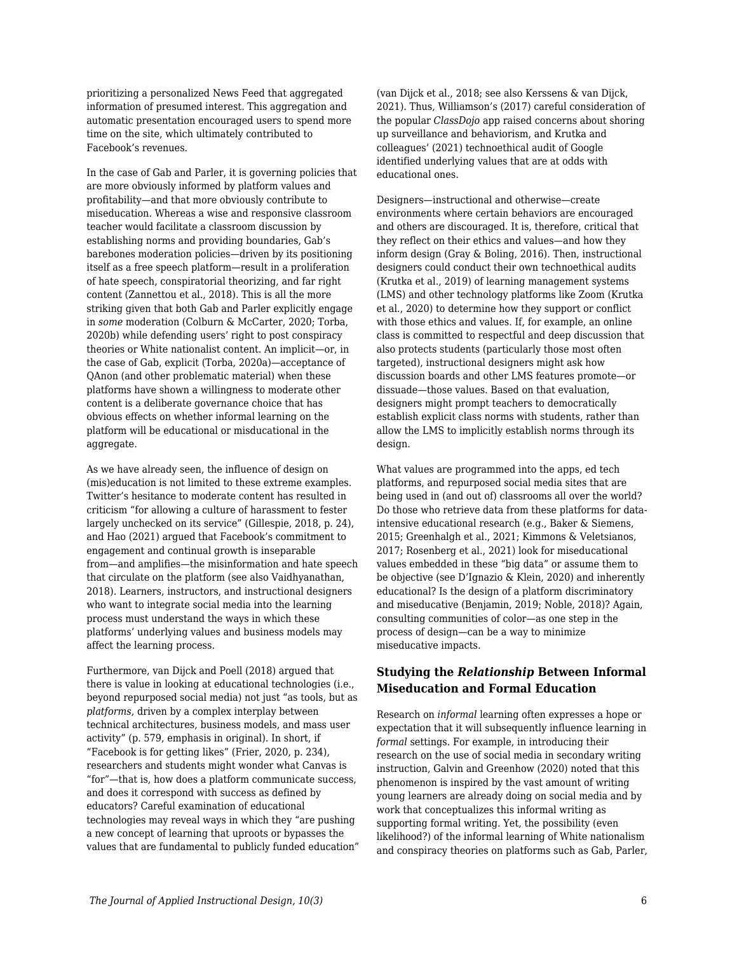prioritizing a personalized News Feed that aggregated information of presumed interest. This aggregation and automatic presentation encouraged users to spend more time on the site, which ultimately contributed to Facebook's revenues.

In the case of Gab and Parler, it is governing policies that are more obviously informed by platform values and profitability—and that more obviously contribute to miseducation. Whereas a wise and responsive classroom teacher would facilitate a classroom discussion by establishing norms and providing boundaries, Gab's barebones moderation policies—driven by its positioning itself as a free speech platform—result in a proliferation of hate speech, conspiratorial theorizing, and far right content (Zannettou et al., 2018). This is all the more striking given that both Gab and Parler explicitly engage in *some* moderation (Colburn & McCarter, 2020; Torba, 2020b) while defending users' right to post conspiracy theories or White nationalist content. An implicit—or, in the case of Gab, explicit (Torba, 2020a)—acceptance of QAnon (and other problematic material) when these platforms have shown a willingness to moderate other content is a deliberate governance choice that has obvious effects on whether informal learning on the platform will be educational or misducational in the aggregate.

As we have already seen, the influence of design on (mis)education is not limited to these extreme examples. Twitter's hesitance to moderate content has resulted in criticism "for allowing a culture of harassment to fester largely unchecked on its service" (Gillespie, 2018, p. 24), and Hao (2021) argued that Facebook's commitment to engagement and continual growth is inseparable from—and amplifies—the misinformation and hate speech that circulate on the platform (see also Vaidhyanathan, 2018). Learners, instructors, and instructional designers who want to integrate social media into the learning process must understand the ways in which these platforms' underlying values and business models may affect the learning process.

Furthermore, van Dijck and Poell (2018) argued that there is value in looking at educational technologies (i.e., beyond repurposed social media) not just "as tools, but as *platforms*, driven by a complex interplay between technical architectures, business models, and mass user activity" (p. 579, emphasis in original). In short, if "Facebook is for getting likes" (Frier, 2020, p. 234), researchers and students might wonder what Canvas is "for"—that is, how does a platform communicate success, and does it correspond with success as defined by educators? Careful examination of educational technologies may reveal ways in which they "are pushing a new concept of learning that uproots or bypasses the values that are fundamental to publicly funded education" (van Dijck et al., 2018; see also Kerssens & van Dijck, 2021). Thus, Williamson's (2017) careful consideration of the popular *ClassDojo* app raised concerns about shoring up surveillance and behaviorism, and Krutka and colleagues' (2021) technoethical audit of Google identified underlying values that are at odds with educational ones.

Designers—instructional and otherwise—create environments where certain behaviors are encouraged and others are discouraged. It is, therefore, critical that they reflect on their ethics and values—and how they inform design (Gray & Boling, 2016). Then, instructional designers could conduct their own technoethical audits (Krutka et al., 2019) of learning management systems (LMS) and other technology platforms like Zoom (Krutka et al., 2020) to determine how they support or conflict with those ethics and values. If, for example, an online class is committed to respectful and deep discussion that also protects students (particularly those most often targeted), instructional designers might ask how discussion boards and other LMS features promote—or dissuade—those values. Based on that evaluation, designers might prompt teachers to democratically establish explicit class norms with students, rather than allow the LMS to implicitly establish norms through its design.

What values are programmed into the apps, ed tech platforms, and repurposed social media sites that are being used in (and out of) classrooms all over the world? Do those who retrieve data from these platforms for dataintensive educational research (e.g., Baker & Siemens, 2015; Greenhalgh et al., 2021; Kimmons & Veletsianos, 2017; Rosenberg et al., 2021) look for miseducational values embedded in these "big data" or assume them to be objective (see D'Ignazio & Klein, 2020) and inherently educational? Is the design of a platform discriminatory and miseducative (Benjamin, 2019; Noble, 2018)? Again, consulting communities of color—as one step in the process of design—can be a way to minimize miseducative impacts.

### **Studying the** *Relationship* **Between Informal Miseducation and Formal Education**

Research on *informal* learning often expresses a hope or expectation that it will subsequently influence learning in *formal* settings. For example, in introducing their research on the use of social media in secondary writing instruction, Galvin and Greenhow (2020) noted that this phenomenon is inspired by the vast amount of writing young learners are already doing on social media and by work that conceptualizes this informal writing as supporting formal writing. Yet, the possibility (even likelihood?) of the informal learning of White nationalism and conspiracy theories on platforms such as Gab, Parler,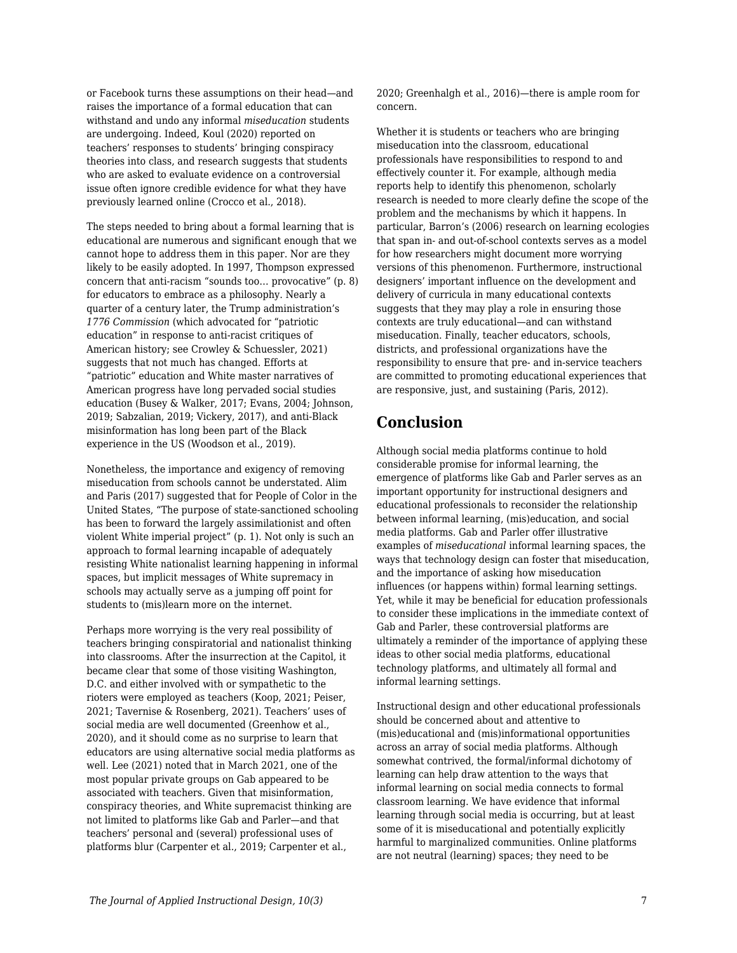or Facebook turns these assumptions on their head—and raises the importance of a formal education that can withstand and undo any informal *miseducation* students are undergoing. Indeed, Koul (2020) reported on teachers' responses to students' bringing conspiracy theories into class, and research suggests that students who are asked to evaluate evidence on a controversial issue often ignore credible evidence for what they have previously learned online (Crocco et al., 2018).

The steps needed to bring about a formal learning that is educational are numerous and significant enough that we cannot hope to address them in this paper. Nor are they likely to be easily adopted. In 1997, Thompson expressed concern that anti-racism "sounds too… provocative" (p. 8) for educators to embrace as a philosophy. Nearly a quarter of a century later, the Trump administration's *1776 Commission* (which advocated for "patriotic education" in response to anti-racist critiques of American history; see Crowley & Schuessler, 2021) suggests that not much has changed. Efforts at "patriotic" education and White master narratives of American progress have long pervaded social studies education (Busey & Walker, 2017; Evans, 2004; Johnson, 2019; Sabzalian, 2019; Vickery, 2017), and anti-Black misinformation has long been part of the Black experience in the US (Woodson et al., 2019).

Nonetheless, the importance and exigency of removing miseducation from schools cannot be understated. Alim and Paris (2017) suggested that for People of Color in the United States, "The purpose of state-sanctioned schooling has been to forward the largely assimilationist and often violent White imperial project" (p. 1). Not only is such an approach to formal learning incapable of adequately resisting White nationalist learning happening in informal spaces, but implicit messages of White supremacy in schools may actually serve as a jumping off point for students to (mis)learn more on the internet.

Perhaps more worrying is the very real possibility of teachers bringing conspiratorial and nationalist thinking into classrooms. After the insurrection at the Capitol, it became clear that some of those visiting Washington, D.C. and either involved with or sympathetic to the rioters were employed as teachers (Koop, 2021; Peiser, 2021; Tavernise & Rosenberg, 2021). Teachers' uses of social media are well documented (Greenhow et al., 2020), and it should come as no surprise to learn that educators are using alternative social media platforms as well. Lee (2021) noted that in March 2021, one of the most popular private groups on Gab appeared to be associated with teachers. Given that misinformation, conspiracy theories, and White supremacist thinking are not limited to platforms like Gab and Parler—and that teachers' personal and (several) professional uses of platforms blur (Carpenter et al., 2019; Carpenter et al.,

2020; Greenhalgh et al., 2016)—there is ample room for concern.

Whether it is students or teachers who are bringing miseducation into the classroom, educational professionals have responsibilities to respond to and effectively counter it. For example, although media reports help to identify this phenomenon, scholarly research is needed to more clearly define the scope of the problem and the mechanisms by which it happens. In particular, Barron's (2006) research on learning ecologies that span in- and out-of-school contexts serves as a model for how researchers might document more worrying versions of this phenomenon. Furthermore, instructional designers' important influence on the development and delivery of curricula in many educational contexts suggests that they may play a role in ensuring those contexts are truly educational—and can withstand miseducation. Finally, teacher educators, schools, districts, and professional organizations have the responsibility to ensure that pre- and in-service teachers are committed to promoting educational experiences that are responsive, just, and sustaining (Paris, 2012).

# **Conclusion**

Although social media platforms continue to hold considerable promise for informal learning, the emergence of platforms like Gab and Parler serves as an important opportunity for instructional designers and educational professionals to reconsider the relationship between informal learning, (mis)education, and social media platforms. Gab and Parler offer illustrative examples of *miseducational* informal learning spaces, the ways that technology design can foster that miseducation, and the importance of asking how miseducation influences (or happens within) formal learning settings. Yet, while it may be beneficial for education professionals to consider these implications in the immediate context of Gab and Parler, these controversial platforms are ultimately a reminder of the importance of applying these ideas to other social media platforms, educational technology platforms, and ultimately all formal and informal learning settings.

Instructional design and other educational professionals should be concerned about and attentive to (mis)educational and (mis)informational opportunities across an array of social media platforms. Although somewhat contrived, the formal/informal dichotomy of learning can help draw attention to the ways that informal learning on social media connects to formal classroom learning. We have evidence that informal learning through social media is occurring, but at least some of it is miseducational and potentially explicitly harmful to marginalized communities. Online platforms are not neutral (learning) spaces; they need to be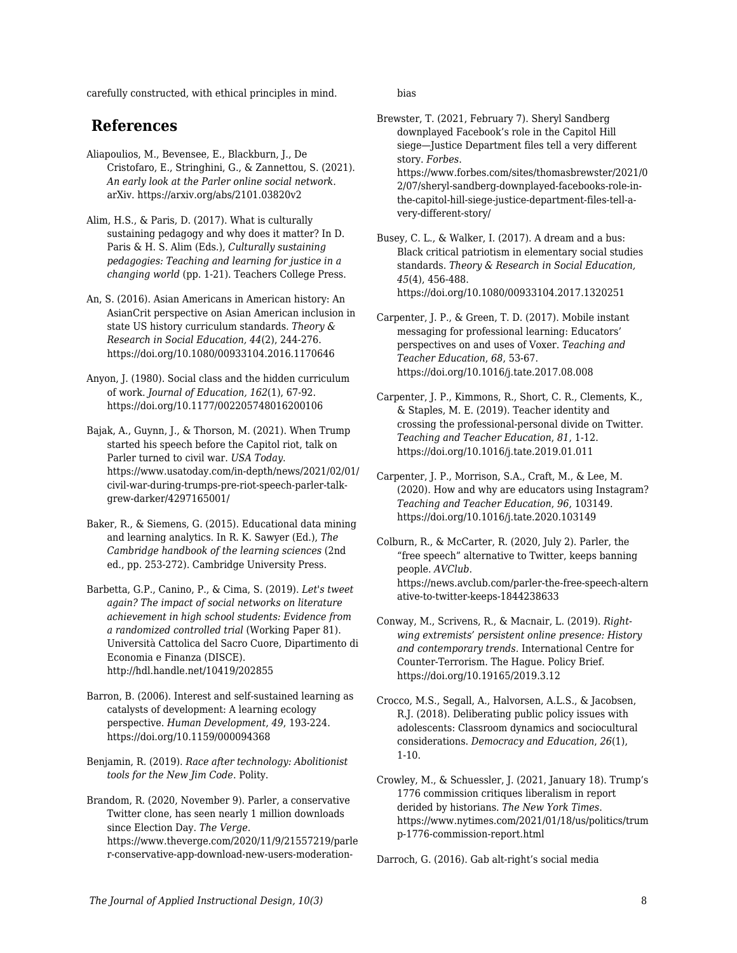carefully constructed, with ethical principles in mind.

### **References**

- Aliapoulios, M., Bevensee, E., Blackburn, J., De Cristofaro, E., Stringhini, G., & Zannettou, S. (2021). *An early look at the Parler online social network*. arXiv. https://arxiv.org/abs/2101.03820v2
- Alim, H.S., & Paris, D. (2017). What is culturally sustaining pedagogy and why does it matter? In D. Paris & H. S. Alim (Eds.), *Culturally sustaining pedagogies: Teaching and learning for justice in a changing world* (pp. 1-21). Teachers College Press.
- An, S. (2016). Asian Americans in American history: An AsianCrit perspective on Asian American inclusion in state US history curriculum standards. *Theory & Research in Social Education, 44*(2), 244-276. https://doi.org/10.1080/00933104.2016.1170646
- Anyon, J. (1980). Social class and the hidden curriculum of work. *Journal of Education, 162*(1), 67-92. https://doi.org/10.1177/002205748016200106
- Bajak, A., Guynn, J., & Thorson, M. (2021). When Trump started his speech before the Capitol riot, talk on Parler turned to civil war. *USA Today*. https://www.usatoday.com/in-depth/news/2021/02/01/ civil-war-during-trumps-pre-riot-speech-parler-talkgrew-darker/4297165001/
- Baker, R., & Siemens, G. (2015). Educational data mining and learning analytics. In R. K. Sawyer (Ed.), *The Cambridge handbook of the learning sciences* (2nd ed., pp. 253-272). Cambridge University Press.
- Barbetta, G.P., Canino, P., & Cima, S. (2019). *Let's tweet again? The impact of social networks on literature achievement in high school students: Evidence from a randomized controlled trial* (Working Paper 81). Università Cattolica del Sacro Cuore, Dipartimento di Economia e Finanza (DISCE). http://hdl.handle.net/10419/202855
- Barron, B. (2006). Interest and self-sustained learning as catalysts of development: A learning ecology perspective. *Human Development*, *49*, 193-224. https://doi.org/10.1159/000094368
- Benjamin, R. (2019). *Race after technology: Abolitionist tools for the New Jim Code*. Polity.
- Brandom, R. (2020, November 9). Parler, a conservative Twitter clone, has seen nearly 1 million downloads since Election Day. *The Verge*. https://www.theverge.com/2020/11/9/21557219/parle r-conservative-app-download-new-users-moderation-

bias

- Brewster, T. (2021, February 7). Sheryl Sandberg downplayed Facebook's role in the Capitol Hill siege—Justice Department files tell a very different story. *Forbes*. https://www.forbes.com/sites/thomasbrewster/2021/0 2/07/sheryl-sandberg-downplayed-facebooks-role-inthe-capitol-hill-siege-justice-department-files-tell-avery-different-story/
- Busey, C. L., & Walker, I. (2017). A dream and a bus: Black critical patriotism in elementary social studies standards. *Theory & Research in Social Education, 45*(4), 456-488. https://doi.org/10.1080/00933104.2017.1320251
- Carpenter, J. P., & Green, T. D. (2017). Mobile instant messaging for professional learning: Educators' perspectives on and uses of Voxer. *Teaching and Teacher Education*, *68*, 53-67. https://doi.org/10.1016/j.tate.2017.08.008
- Carpenter, J. P., Kimmons, R., Short, C. R., Clements, K., & Staples, M. E. (2019). Teacher identity and crossing the professional-personal divide on Twitter. *Teaching and Teacher Education*, *81*, 1-12. https://doi.org/10.1016/j.tate.2019.01.011
- Carpenter, J. P., Morrison, S.A., Craft, M., & Lee, M. (2020). How and why are educators using Instagram? *Teaching and Teacher Education*, *96*, 103149. https://doi.org/10.1016/j.tate.2020.103149
- Colburn, R., & McCarter, R. (2020, July 2). Parler, the "free speech" alternative to Twitter, keeps banning people. *AVClub*. https://news.avclub.com/parler-the-free-speech-altern ative-to-twitter-keeps-1844238633
- Conway, M., Scrivens, R., & Macnair, L. (2019). *Rightwing extremists' persistent online presence: History and contemporary trends.* International Centre for Counter-Terrorism. The Hague. Policy Brief. https://doi.org/10.19165/2019.3.12
- Crocco, M.S., Segall, A., Halvorsen, A.L.S., & Jacobsen, R.J. (2018). Deliberating public policy issues with adolescents: Classroom dynamics and sociocultural considerations. *Democracy and Education*, *26*(1), 1-10.
- Crowley, M., & Schuessler, J. (2021, January 18). Trump's 1776 commission critiques liberalism in report derided by historians. *The New York Times*. https://www.nytimes.com/2021/01/18/us/politics/trum p-1776-commission-report.html
- Darroch, G. (2016). Gab alt-right's social media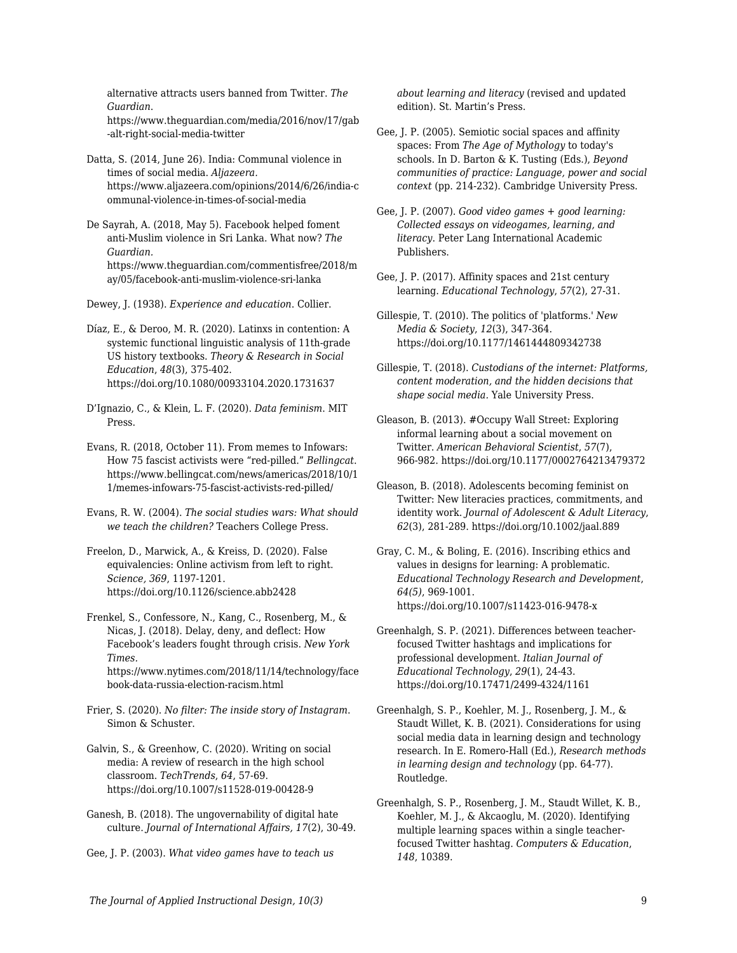alternative attracts users banned from Twitter. *The Guardian*. https://www.theguardian.com/media/2016/nov/17/gab

-alt-right-social-media-twitter Datta, S. (2014, June 26). India: Communal violence in times of social media. *Aljazeera.*

https://www.aljazeera.com/opinions/2014/6/26/india-c ommunal-violence-in-times-of-social-media

De Sayrah, A. (2018, May 5). Facebook helped foment anti-Muslim violence in Sri Lanka. What now? *The Guardian.* https://www.theguardian.com/commentisfree/2018/m ay/05/facebook-anti-muslim-violence-sri-lanka

Dewey, J. (1938). *Experience and education*. Collier.

Díaz, E., & Deroo, M. R. (2020). Latinxs in contention: A systemic functional linguistic analysis of 11th-grade US history textbooks. *Theory & Research in Social Education*, *48*(3), 375-402. https://doi.org/10.1080/00933104.2020.1731637

D'Ignazio, C., & Klein, L. F. (2020). *Data feminism*. MIT Press.

Evans, R. (2018, October 11). From memes to Infowars: How 75 fascist activists were "red-pilled." *Bellingcat*. https://www.bellingcat.com/news/americas/2018/10/1 1/memes-infowars-75-fascist-activists-red-pilled/

Evans, R. W. (2004). *The social studies wars: What should we teach the children?* Teachers College Press.

Freelon, D., Marwick, A., & Kreiss, D. (2020). False equivalencies: Online activism from left to right. *Science, 369*, 1197-1201. https://doi.org/10.1126/science.abb2428

Frenkel, S., Confessore, N., Kang, C., Rosenberg, M., & Nicas, J. (2018). Delay, deny, and deflect: How Facebook's leaders fought through crisis. *New York Times.* https://www.nytimes.com/2018/11/14/technology/face book-data-russia-election-racism.html

Frier, S. (2020). *No filter: The inside story of Instagram*. Simon & Schuster.

Galvin, S., & Greenhow, C. (2020). Writing on social media: A review of research in the high school classroom. *TechTrends*, *64*, 57-69. https://doi.org/10.1007/s11528-019-00428-9

Ganesh, B. (2018). The ungovernability of digital hate culture. *Journal of International Affairs, 17*(2), 30-49.

Gee, J. P. (2003). *What video games have to teach us*

*about learning and literacy* (revised and updated edition). St. Martin's Press.

Gee, J. P. (2005). Semiotic social spaces and affinity spaces: From *The Age of Mythology* to today's schools. In D. Barton & K. Tusting (Eds.), *Beyond communities of practice: Language, power and social context* (pp. 214-232). Cambridge University Press.

Gee, J. P. (2007). *Good video games + good learning: Collected essays on videogames, learning, and literacy*. Peter Lang International Academic Publishers.

Gee, J. P. (2017). Affinity spaces and 21st century learning. *Educational Technology*, *57*(2), 27-31.

Gillespie, T. (2010). The politics of 'platforms.' *New Media & Society*, *12*(3), 347-364. https://doi.org/10.1177/1461444809342738

Gillespie, T. (2018). *Custodians of the internet: Platforms, content moderation, and the hidden decisions that shape social media.* Yale University Press.

Gleason, B. (2013). #Occupy Wall Street: Exploring informal learning about a social movement on Twitter. *American Behavioral Scientist*, *57*(7), 966-982. https://doi.org/10.1177/0002764213479372

Gleason, B. (2018). Adolescents becoming feminist on Twitter: New literacies practices, commitments, and identity work. *Journal of Adolescent & Adult Literacy*, *62*(3), 281-289. https://doi.org/10.1002/jaal.889

Gray, C. M., & Boling, E. (2016). Inscribing ethics and values in designs for learning: A problematic. *Educational Technology Research and Development*, *64(5)*, 969-1001. https://doi.org/10.1007/s11423-016-9478-x

Greenhalgh, S. P. (2021). Differences between teacherfocused Twitter hashtags and implications for professional development. *Italian Journal of Educational Technology*, *29*(1), 24-43. https://doi.org/10.17471/2499-4324/1161

Greenhalgh, S. P., Koehler, M. J., Rosenberg, J. M., & Staudt Willet, K. B. (2021). Considerations for using social media data in learning design and technology research. In E. Romero-Hall (Ed.), *Research methods in learning design and technology* (pp. 64-77). Routledge.

Greenhalgh, S. P., Rosenberg, J. M., Staudt Willet, K. B., Koehler, M. J., & Akcaoglu, M. (2020). Identifying multiple learning spaces within a single teacherfocused Twitter hashtag. *Computers & Education*, *148*, 10389.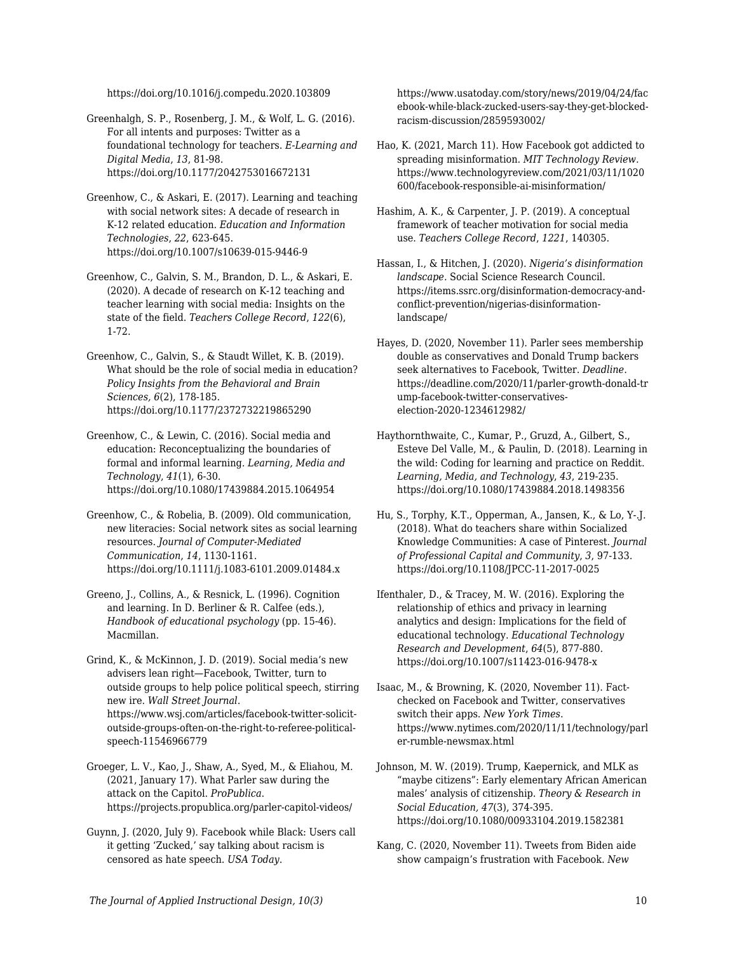https://doi.org/10.1016/j.compedu.2020.103809

Greenhalgh, S. P., Rosenberg, J. M., & Wolf, L. G. (2016). For all intents and purposes: Twitter as a foundational technology for teachers. *E-Learning and Digital Media*, *13*, 81-98. https://doi.org/10.1177/2042753016672131

Greenhow, C., & Askari, E. (2017). Learning and teaching with social network sites: A decade of research in K-12 related education. *Education and Information Technologies*, *22*, 623-645. https://doi.org/10.1007/s10639-015-9446-9

Greenhow, C., Galvin, S. M., Brandon, D. L., & Askari, E. (2020). A decade of research on K-12 teaching and teacher learning with social media: Insights on the state of the field. *Teachers College Record*, *122*(6), 1-72.

Greenhow, C., Galvin, S., & Staudt Willet, K. B. (2019). What should be the role of social media in education? *Policy Insights from the Behavioral and Brain Sciences, 6*(2), 178-185. https://doi.org/10.1177/2372732219865290

Greenhow, C., & Lewin, C. (2016). Social media and education: Reconceptualizing the boundaries of formal and informal learning. *Learning, Media and Technology*, *41*(1), 6-30. https://doi.org/10.1080/17439884.2015.1064954

Greenhow, C., & Robelia, B. (2009). Old communication, new literacies: Social network sites as social learning resources. *Journal of Computer-Mediated Communication*, *14*, 1130-1161. https://doi.org/10.1111/j.1083-6101.2009.01484.x

Greeno, J., Collins, A., & Resnick, L. (1996). Cognition and learning. In D. Berliner & R. Calfee (eds.), *Handbook of educational psychology* (pp. 15-46). Macmillan.

Grind, K., & McKinnon, J. D. (2019). Social media's new advisers lean right—Facebook, Twitter, turn to outside groups to help police political speech, stirring new ire. *Wall Street Journal*. https://www.wsj.com/articles/facebook-twitter-solicitoutside-groups-often-on-the-right-to-referee-politicalspeech-11546966779

Groeger, L. V., Kao, J., Shaw, A., Syed, M., & Eliahou, M. (2021, January 17). What Parler saw during the attack on the Capitol. *ProPublica*. https://projects.propublica.org/parler-capitol-videos/

Guynn, J. (2020, July 9). Facebook while Black: Users call it getting 'Zucked,' say talking about racism is censored as hate speech. *USA Today*.

https://www.usatoday.com/story/news/2019/04/24/fac ebook-while-black-zucked-users-say-they-get-blockedracism-discussion/2859593002/

Hao, K. (2021, March 11). How Facebook got addicted to spreading misinformation. *MIT Technology Review*. https://www.technologyreview.com/2021/03/11/1020 600/facebook-responsible-ai-misinformation/

Hashim, A. K., & Carpenter, J. P. (2019). A conceptual framework of teacher motivation for social media use. *Teachers College Record*, *1221*, 140305.

Hassan, I., & Hitchen, J. (2020). *Nigeria's disinformation landscape.* Social Science Research Council. https://items.ssrc.org/disinformation-democracy-andconflict-prevention/nigerias-disinformationlandscape/

Hayes, D. (2020, November 11). Parler sees membership double as conservatives and Donald Trump backers seek alternatives to Facebook, Twitter. *Deadline*. https://deadline.com/2020/11/parler-growth-donald-tr ump-facebook-twitter-conservativeselection-2020-1234612982/

Haythornthwaite, C., Kumar, P., Gruzd, A., Gilbert, S., Esteve Del Valle, M., & Paulin, D. (2018). Learning in the wild: Coding for learning and practice on Reddit. *Learning, Media, and Technology*, *43*, 219-235. https://doi.org/10.1080/17439884.2018.1498356

Hu, S., Torphy, K.T., Opperman, A., Jansen, K., & Lo, Y-.J. (2018). What do teachers share within Socialized Knowledge Communities: A case of Pinterest. *Journal of Professional Capital and Community*, *3*, 97-133. https://doi.org/10.1108/JPCC-11-2017-0025

Ifenthaler, D., & Tracey, M. W. (2016). Exploring the relationship of ethics and privacy in learning analytics and design: Implications for the field of educational technology. *Educational Technology Research and Development*, *64*(5), 877-880. https://doi.org/10.1007/s11423-016-9478-x

Isaac, M., & Browning, K. (2020, November 11). Factchecked on Facebook and Twitter, conservatives switch their apps. *New York Times*. https://www.nytimes.com/2020/11/11/technology/parl er-rumble-newsmax.html

Johnson, M. W. (2019). Trump, Kaepernick, and MLK as "maybe citizens": Early elementary African American males' analysis of citizenship. *Theory & Research in Social Education, 47*(3), 374-395. https://doi.org/10.1080/00933104.2019.1582381

Kang, C. (2020, November 11). Tweets from Biden aide show campaign's frustration with Facebook. *New*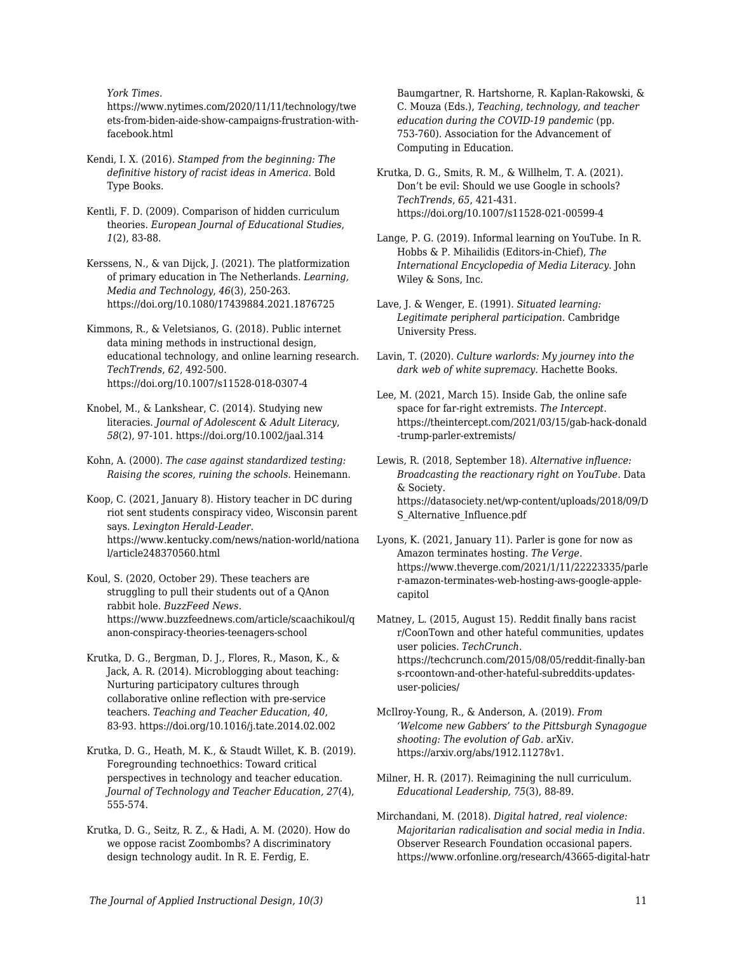*York Times*.

https://www.nytimes.com/2020/11/11/technology/twe ets-from-biden-aide-show-campaigns-frustration-withfacebook.html

- Kendi, I. X. (2016). *Stamped from the beginning: The definitive history of racist ideas in America*. Bold Type Books.
- Kentli, F. D. (2009). Comparison of hidden curriculum theories. *European Journal of Educational Studies*, *1*(2), 83-88.
- Kerssens, N., & van Dijck, J. (2021). The platformization of primary education in The Netherlands. *Learning, Media and Technology*, *46*(3), 250-263. https://doi.org/10.1080/17439884.2021.1876725
- Kimmons, R., & Veletsianos, G. (2018). Public internet data mining methods in instructional design, educational technology, and online learning research. *TechTrends*, *62*, 492-500. https://doi.org/10.1007/s11528-018-0307-4
- Knobel, M., & Lankshear, C. (2014). Studying new literacies. *Journal of Adolescent & Adult Literacy*, *58*(2), 97-101. https://doi.org/10.1002/jaal.314
- Kohn, A. (2000). *The case against standardized testing: Raising the scores, ruining the schools*. Heinemann.
- Koop, C. (2021, January 8). History teacher in DC during riot sent students conspiracy video, Wisconsin parent says. *Lexington Herald-Leader*. https://www.kentucky.com/news/nation-world/nationa l/article248370560.html
- Koul, S. (2020, October 29). These teachers are struggling to pull their students out of a QAnon rabbit hole. *BuzzFeed News*. https://www.buzzfeednews.com/article/scaachikoul/q anon-conspiracy-theories-teenagers-school
- Krutka, D. G., Bergman, D. J., Flores, R., Mason, K., & Jack, A. R. (2014). Microblogging about teaching: Nurturing participatory cultures through collaborative online reflection with pre-service teachers. *Teaching and Teacher Education*, *40*, 83-93. https://doi.org/10.1016/j.tate.2014.02.002
- Krutka, D. G., Heath, M. K., & Staudt Willet, K. B. (2019). Foregrounding technoethics: Toward critical perspectives in technology and teacher education. *Journal of Technology and Teacher Education, 27*(4), 555-574.
- Krutka, D. G., Seitz, R. Z., & Hadi, A. M. (2020). How do we oppose racist Zoombombs? A discriminatory design technology audit. In R. E. Ferdig, E.

Baumgartner, R. Hartshorne, R. Kaplan-Rakowski, & C. Mouza (Eds.), *Teaching, technology, and teacher education during the COVID-19 pandemic* (pp. 753-760). Association for the Advancement of Computing in Education.

- Krutka, D. G., Smits, R. M., & Willhelm, T. A. (2021). Don't be evil: Should we use Google in schools? *TechTrends*, *65*, 421-431. https://doi.org/10.1007/s11528-021-00599-4
- Lange, P. G. (2019). Informal learning on YouTube. In R. Hobbs & P. Mihailidis (Editors-in-Chief), *The International Encyclopedia of Media Literacy*. John Wiley & Sons, Inc.
- Lave, J. & Wenger, E. (1991). *Situated learning: Legitimate peripheral participation*. Cambridge University Press.
- Lavin, T. (2020). *Culture warlords: My journey into the dark web of white supremacy*. Hachette Books.
- Lee, M. (2021, March 15). Inside Gab, the online safe space for far-right extremists. *The Intercept*. https://theintercept.com/2021/03/15/gab-hack-donald -trump-parler-extremists/
- Lewis, R. (2018, September 18). *Alternative influence: Broadcasting the reactionary right on YouTube*. Data & Society. https://datasociety.net/wp-content/uploads/2018/09/D S\_Alternative\_Influence.pdf
- Lyons, K. (2021, January 11). Parler is gone for now as Amazon terminates hosting. *The Verge*. https://www.theverge.com/2021/1/11/22223335/parle r-amazon-terminates-web-hosting-aws-google-applecapitol
- Matney, L. (2015, August 15). Reddit finally bans racist r/CoonTown and other hateful communities, updates user policies. *TechCrunch*. https://techcrunch.com/2015/08/05/reddit-finally-ban s-rcoontown-and-other-hateful-subreddits-updatesuser-policies/
- McIlroy-Young, R., & Anderson, A. (2019). *From 'Welcome new Gabbers' to the Pittsburgh Synagogue shooting: The evolution of Gab*. arXiv. https://arxiv.org/abs/1912.11278v1.
- Milner, H. R. (2017). Reimagining the null curriculum. *Educational Leadership, 75*(3), 88-89.
- Mirchandani, M. (2018). *Digital hatred, real violence: Majoritarian radicalisation and social media in India*. Observer Research Foundation occasional papers. https://www.orfonline.org/research/43665-digital-hatr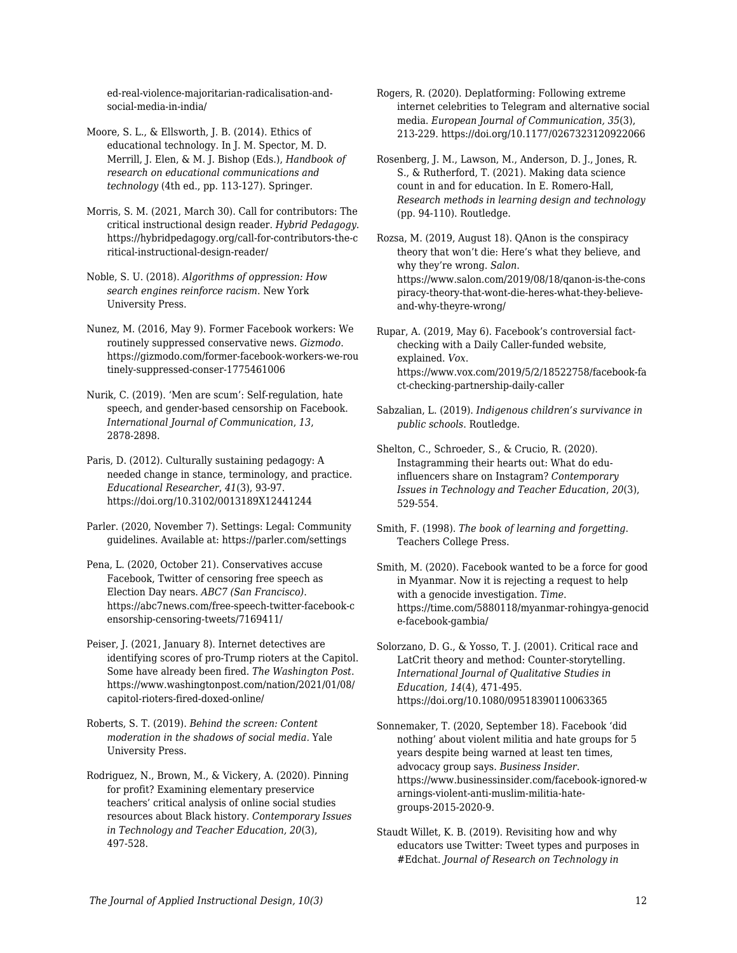ed-real-violence-majoritarian-radicalisation-andsocial-media-in-india/

Moore, S. L., & Ellsworth, J. B. (2014). Ethics of educational technology. In J. M. Spector, M. D. Merrill, J. Elen, & M. J. Bishop (Eds.), *Handbook of research on educational communications and technology* (4th ed., pp. 113-127). Springer.

Morris, S. M. (2021, March 30). Call for contributors: The critical instructional design reader. *Hybrid Pedagogy*. https://hybridpedagogy.org/call-for-contributors-the-c ritical-instructional-design-reader/

Noble, S. U. (2018). *Algorithms of oppression: How search engines reinforce racism*. New York University Press.

Nunez, M. (2016, May 9). Former Facebook workers: We routinely suppressed conservative news. *Gizmodo*. https://gizmodo.com/former-facebook-workers-we-rou tinely-suppressed-conser-1775461006

Nurik, C. (2019). 'Men are scum': Self-regulation, hate speech, and gender-based censorship on Facebook. *International Journal of Communication*, *13*, 2878-2898.

Paris, D. (2012). Culturally sustaining pedagogy: A needed change in stance, terminology, and practice. *Educational Researcher*, *41*(3), 93-97. https://doi.org/10.3102/0013189X12441244

Parler. (2020, November 7). Settings: Legal: Community guidelines. Available at: https://parler.com/settings

Pena, L. (2020, October 21). Conservatives accuse Facebook, Twitter of censoring free speech as Election Day nears. *ABC7 (San Francisco)*. https://abc7news.com/free-speech-twitter-facebook-c ensorship-censoring-tweets/7169411/

Peiser, J. (2021, January 8). Internet detectives are identifying scores of pro-Trump rioters at the Capitol. Some have already been fired. *The Washington Post*. https://www.washingtonpost.com/nation/2021/01/08/ capitol-rioters-fired-doxed-online/

Roberts, S. T. (2019). *Behind the screen: Content moderation in the shadows of social media.* Yale University Press.

Rodriguez, N., Brown, M., & Vickery, A. (2020). Pinning for profit? Examining elementary preservice teachers' critical analysis of online social studies resources about Black history. *Contemporary Issues in Technology and Teacher Education, 20*(3), 497-528.

Rogers, R. (2020). Deplatforming: Following extreme internet celebrities to Telegram and alternative social media. *European Journal of Communication, 35*(3), 213-229. https://doi.org/10.1177/0267323120922066

Rosenberg, J. M., Lawson, M., Anderson, D. J., Jones, R. S., & Rutherford, T. (2021). Making data science count in and for education. In E. Romero-Hall, *Research methods in learning design and technology* (pp. 94-110). Routledge.

Rozsa, M. (2019, August 18). QAnon is the conspiracy theory that won't die: Here's what they believe, and why they're wrong. *Salon*. https://www.salon.com/2019/08/18/qanon-is-the-cons piracy-theory-that-wont-die-heres-what-they-believeand-why-theyre-wrong/

Rupar, A. (2019, May 6). Facebook's controversial factchecking with a Daily Caller-funded website, explained. *Vox*. https://www.vox.com/2019/5/2/18522758/facebook-fa ct-checking-partnership-daily-caller

Sabzalian, L. (2019). *Indigenous children's survivance in public schools*. Routledge.

Shelton, C., Schroeder, S., & Crucio, R. (2020). Instagramming their hearts out: What do eduinfluencers share on Instagram? *Contemporary Issues in Technology and Teacher Education*, *20*(3), 529-554.

Smith, F. (1998). *The book of learning and forgetting*. Teachers College Press.

Smith, M. (2020). Facebook wanted to be a force for good in Myanmar. Now it is rejecting a request to help with a genocide investigation. *Time*. https://time.com/5880118/myanmar-rohingya-genocid e-facebook-gambia/

Solorzano, D. G., & Yosso, T. J. (2001). Critical race and LatCrit theory and method: Counter-storytelling. *International Journal of Qualitative Studies in Education, 14*(4), 471-495. https://doi.org/10.1080/09518390110063365

Sonnemaker, T. (2020, September 18). Facebook 'did nothing' about violent militia and hate groups for 5 years despite being warned at least ten times, advocacy group says. *Business Insider*. https://www.businessinsider.com/facebook-ignored-w arnings-violent-anti-muslim-militia-hategroups-2015-2020-9.

Staudt Willet, K. B. (2019). Revisiting how and why educators use Twitter: Tweet types and purposes in #Edchat. *Journal of Research on Technology in*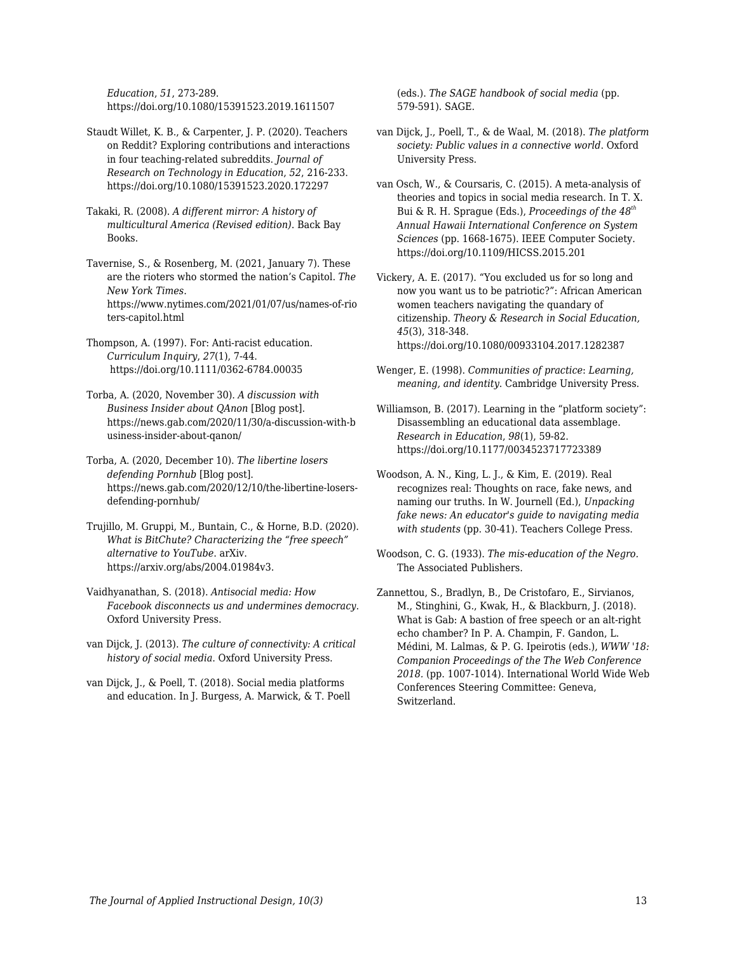*Education*, *51*, 273-289. https://doi.org/10.1080/15391523.2019.1611507

- Staudt Willet, K. B., & Carpenter, J. P. (2020). Teachers on Reddit? Exploring contributions and interactions in four teaching-related subreddits. *Journal of Research on Technology in Education*, *52*, 216-233. https://doi.org/10.1080/15391523.2020.172297
- Takaki, R. (2008). *A different mirror: A history of multicultural America (Revised edition)*. Back Bay Books.
- Tavernise, S., & Rosenberg, M. (2021, January 7). These are the rioters who stormed the nation's Capitol. *The New York Times*. https://www.nytimes.com/2021/01/07/us/names-of-rio ters-capitol.html
- Thompson, A. (1997). For: Anti-racist education. *Curriculum Inquiry*, *27*(1), 7-44. https://doi.org/10.1111/0362-6784.00035
- Torba, A. (2020, November 30). *A discussion with Business Insider about QAnon* [Blog post]. https://news.gab.com/2020/11/30/a-discussion-with-b usiness-insider-about-qanon/
- Torba, A. (2020, December 10). *The libertine losers defending Pornhub* [Blog post]. https://news.gab.com/2020/12/10/the-libertine-losersdefending-pornhub/
- Trujillo, M. Gruppi, M., Buntain, C., & Horne, B.D. (2020). *What is BitChute? Characterizing the "free speech" alternative to YouTube*. arXiv. https://arxiv.org/abs/2004.01984v3.
- Vaidhyanathan, S. (2018). *Antisocial media: How Facebook disconnects us and undermines democracy*. Oxford University Press.
- van Dijck, J. (2013). *The culture of connectivity: A critical history of social media*. Oxford University Press.
- van Dijck, J., & Poell, T. (2018). Social media platforms and education. In J. Burgess, A. Marwick, & T. Poell

(eds.). *The SAGE handbook of social media* (pp. 579-591). SAGE.

- van Dijck, J., Poell, T., & de Waal, M. (2018). *The platform society: Public values in a connective world*. Oxford University Press.
- van Osch, W., & Coursaris, C. (2015). A meta-analysis of theories and topics in social media research. In T. X. Bui & R. H. Sprague (Eds.), *Proceedings of the 48th Annual Hawaii International Conference on System Sciences* (pp. 1668-1675). IEEE Computer Society. https://doi.org/10.1109/HICSS.2015.201
- Vickery, A. E. (2017). "You excluded us for so long and now you want us to be patriotic?": African American women teachers navigating the quandary of citizenship. *Theory & Research in Social Education, 45*(3), 318-348. https://doi.org/10.1080/00933104.2017.1282387
- Wenger, E. (1998). *Communities of practice*: *Learning, meaning, and identity*. Cambridge University Press.
- Williamson, B. (2017). Learning in the "platform society": Disassembling an educational data assemblage. *Research in Education*, *98*(1), 59-82. https://doi.org/10.1177/0034523717723389
- Woodson, A. N., King, L. J., & Kim, E. (2019). Real recognizes real: Thoughts on race, fake news, and naming our truths. In W. Journell (Ed.), *Unpacking fake news: An educator's guide to navigating media with students* (pp. 30-41). Teachers College Press.
- Woodson, C. G. (1933). *The mis-education of the Negro.* The Associated Publishers.
- Zannettou, S., Bradlyn, B., De Cristofaro, E., Sirvianos, M., Stinghini, G., Kwak, H., & Blackburn, J. (2018). What is Gab: A bastion of free speech or an alt-right echo chamber? In P. A. Champin, F. Gandon, L. Médini, M. Lalmas, & P. G. Ipeirotis (eds.), *WWW '18: Companion Proceedings of the The Web Conference 2018.* (pp. 1007-1014). International World Wide Web Conferences Steering Committee: Geneva, Switzerland.